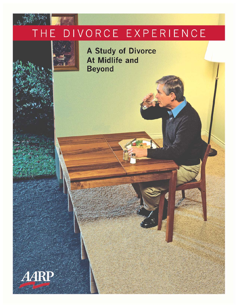#### DIVORCE EXPERIENCE H E

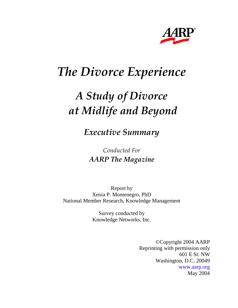

# *The Divorce Experience*

# *A Study of Divorce at Midlife and Beyond*

*Executive Summary* 

*Conducted For AARP The Magazine* 

Report by Xenia P. Montenegro, PhD National Member Research, Knowledge Management

> Survey conducted by Knowledge Networks, Inc.

> > ©Copyright 2004 AARP Reprinting with permission only 601 E St. NW Washington, D.C. 20049 www.aarp.org May 2004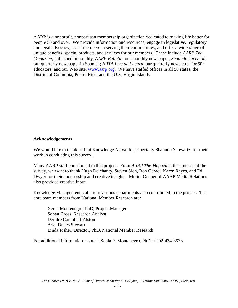AARP is a nonprofit, nonpartisan membership organization dedicated to making life better for people 50 and over. We provide information and resources; engage in legislative, regulatory and legal advocacy; assist members in serving their communities; and offer a wide range of unique benefits, special products, and services for our members. These include *AARP The Magazine,* published bimonthly; *AARP Bulletin,* our monthly newspaper; *Segunda Juventud,* our quarterly newspaper in Spanish; *NRTA Live and Learn,* our quarterly newsletter for 50+ educators; and our Web site, www.aarp.org. We have staffed offices in all 50 states, the District of Columbia, Puerto Rico, and the U.S. Virgin Islands.

#### **Acknowledgements**

We would like to thank staff at Knowledge Networks, especially Shannon Schwartz, for their work in conducting this survey.

Many AARP staff contributed to this project. From *AARP The Magazine*, the sponsor of the survey, we want to thank Hugh Delehanty, Steven Slon, Ron Geraci, Karen Reyes, and Ed Dwyer for their sponsorship and creative insights. Muriel Cooper of AARP Media Relations also provided creative input.

Knowledge Management staff from various departments also contributed to the project. The core team members from National Member Research are:

 Xenia Montenegro, PhD, Project Manager Sonya Gross, Research Analyst Deirdre Campbell-Alston Adel Dukes Stewart Linda Fisher, Director, PhD, National Member Research

For additional information, contact Xenia P. Montenegro, PhD at 202-434-3538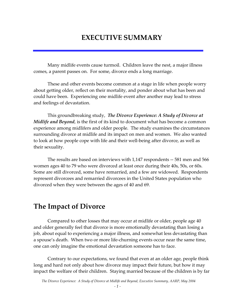# **EXECUTIVE SUMMARY**

 Many midlife events cause turmoil. Children leave the nest, a major illness comes, a parent passes on. For some, divorce ends a long marriage.

 These and other events become common at a stage in life when people worry about getting older, reflect on their mortality, and ponder about what has been and could have been. Experiencing one midlife event after another may lead to stress and feelings of devastation.

 This groundbreaking study, *The Divorce Experience: A Study of Divorce at Midlife and Beyond*, is the first of its kind to document what has become a common experience among midlifers and older people. The study examines the circumstances surrounding divorce at midlife and its impact on men and women. We also wanted to look at how people cope with life and their well-being after divorce, as well as their sexuality.

 The results are based on interviews with 1,147 respondents -- 581 men and 566 women ages 40 to 79 who were divorced at least once during their 40s, 50s, or 60s. Some are still divorced, some have remarried, and a few are widowed. Respondents represent divorcees and remarried divorcees in the United States population who divorced when they were between the ages of 40 and 69.

### **The Impact of Divorce**

Compared to other losses that may occur at midlife or older, people age 40 and older generally feel that divorce is more emotionally devastating than losing a job, about equal to experiencing a major illness, and somewhat less devastating than a spouse's death. When two or more life-churning events occur near the same time, one can only imagine the emotional devastation someone has to face.

Contrary to our expectations, we found that even at an older age, people think long and hard not only about how divorce may impact their future, but how it may impact the welfare of their children. Staying married because of the children is by far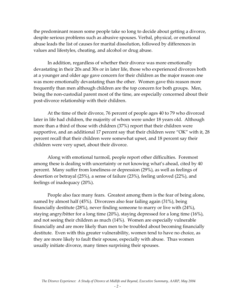the predominant reason some people take so long to decide about getting a divorce, despite serious problems such as abusive spouses. Verbal, physical, or emotional abuse leads the list of causes for marital dissolution, followed by differences in values and lifestyles, cheating, and alcohol or drug abuse.

 In addition, regardless of whether their divorce was more emotionally devastating in their 20s and 30s or in later life, those who experienced divorces both at a younger and older age gave concern for their children as the major reason one was more emotionally devastating than the other. Women gave this reason more frequently than men although children are the top concern for both groups. Men, being the non-custodial parent most of the time, are especially concerned about their post-divorce relationship with their children.

 At the time of their divorce, 76 percent of people ages 40 to 79 who divorced later in life had children, the majority of whom were under 18 years old. Although more than a third of those with children (37%) report that their children were supportive, and an additional 17 percent say that their children were "OK" with it, 28 percent recall that their children were somewhat upset, and 18 percent say their children were very upset, about their divorce.

 Along with emotional turmoil, people report other difficulties. Foremost among these is dealing with uncertainty or not knowing what's ahead, cited by 40 percent. Many suffer from loneliness or depression (29%), as well as feelings of desertion or betrayal (25%), a sense of failure (23%), feeling unloved (22%), and feelings of inadequacy (20%).

 People also face many fears. Greatest among them is the fear of being alone, named by almost half (45%). Divorcees also fear failing again (31%), being financially destitute (28%), never finding someone to marry or live with (24%), staying angry/bitter for a long time (20%), staying depressed for a long time (16%), and not seeing their children as much (14%). Women are especially vulnerable financially and are more likely than men to be troubled about becoming financially destitute. Even with this greater vulnerability, women tend to have no choice, as they are more likely to fault their spouse, especially with abuse. Thus women usually initiate divorce, many times surprising their spouses.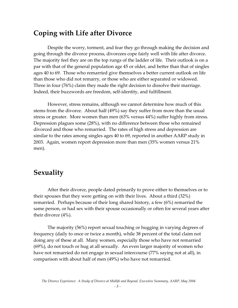### **Coping with Life after Divorce**

Despite the worry, torment, and fear they go through making the decision and going through the divorce process, divorcees cope fairly well with life after divorce. The majority feel they are on the top rungs of the ladder of life. Their outlook is on a par with that of the general population age 45 or older, and better than that of singles ages 40 to 69. Those who remarried give themselves a better current outlook on life than those who did not remarry, or those who are either separated or widowed. Three in four (76%) claim they made the right decision to dissolve their marriage. Indeed, their buzzwords are freedom, self-identity, and fulfillment.

 However, stress remains, although we cannot determine how much of this stems from the divorce. About half (49%) say they suffer from more than the usual stress or greater. More women than men (63% versus 44%) suffer highly from stress. Depression plagues some (28%), with no difference between those who remained divorced and those who remarried. The rates of high stress and depression are similar to the rates among singles ages 40 to 69, reported in another AARP study in 2003. Again, women report depression more than men (35% women versus 21% men).

### **Sexuality**

After their divorce, people dated primarily to prove either to themselves or to their spouses that they were getting on with their lives. About a third (32%) remarried. Perhaps because of their long shared history, a few (6%) remarried the same person, or had sex with their spouse occasionally or often for several years after their divorce (4%).

 The majority (56%) report sexual touching or hugging in varying degrees of frequency (daily to once or twice a month), while 38 percent of the total claim not doing any of these at all. Many women, especially those who have not remarried (69%), do not touch or hug at all sexually. An even larger majority of women who have not remarried do not engage in sexual intercourse (77% saying not at all), in comparison with about half of men (49%) who have not remarried.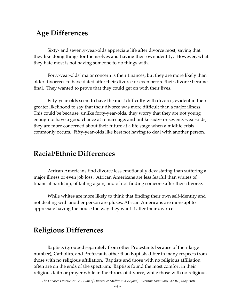# **Age Differences**

Sixty- and seventy-year-olds appreciate life after divorce most, saying that they like doing things for themselves and having their own identity. However, what they hate most is not having someone to do things with.

 Forty-year-olds' major concern is their finances, but they are more likely than older divorcees to have dated after their divorce or even before their divorce became final. They wanted to prove that they could get on with their lives.

 Fifty-year-olds seem to have the most difficulty with divorce, evident in their greater likelihood to say that their divorce was more difficult than a major illness. This could be because, unlike forty-year-olds, they worry that they are not young enough to have a good chance at remarriage; and unlike sixty- or seventy-year-olds, they are more concerned about their future at a life stage when a midlife crisis commonly occurs. Fifty-year-olds like best not having to deal with another person.

# **Racial/Ethnic Differences**

African Americans find divorce less emotionally devastating than suffering a major illness or even job loss. African Americans are less fearful than whites of financial hardship, of failing again, and of not finding someone after their divorce.

 While whites are more likely to think that finding their own self-identity and not dealing with another person are pluses, African Americans are more apt to appreciate having the house the way they want it after their divorce.

# **Religious Differences**

Baptists (grouped separately from other Protestants because of their large number), Catholics, and Protestants other than Baptists differ in many respects from those with no religious affiliation. Baptists and those with no religious affiliation often are on the ends of the spectrum: Baptists found the most comfort in their religious faith or prayer while in the throes of divorce, while those with no religious